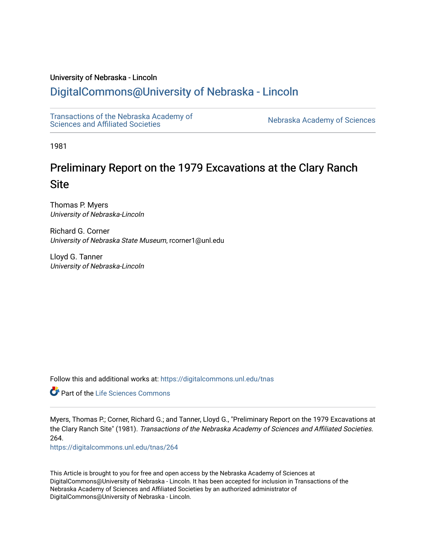# University of Nebraska - Lincoln

# [DigitalCommons@University of Nebraska - Lincoln](https://digitalcommons.unl.edu/)

[Transactions of the Nebraska Academy of](https://digitalcommons.unl.edu/tnas)  Transactions of the Nebraska Academy of Sciences<br>Sciences and Affiliated Societies

1981

# Preliminary Report on the 1979 Excavations at the Clary Ranch **Site**

Thomas P. Myers University of Nebraska-Lincoln

Richard G. Corner University of Nebraska State Museum, rcorner1@unl.edu

Lloyd G. Tanner University of Nebraska-Lincoln

Follow this and additional works at: [https://digitalcommons.unl.edu/tnas](https://digitalcommons.unl.edu/tnas?utm_source=digitalcommons.unl.edu%2Ftnas%2F264&utm_medium=PDF&utm_campaign=PDFCoverPages) 

**Part of the Life Sciences Commons** 

Myers, Thomas P.; Corner, Richard G.; and Tanner, Lloyd G., "Preliminary Report on the 1979 Excavations at the Clary Ranch Site" (1981). Transactions of the Nebraska Academy of Sciences and Affiliated Societies. 264.

[https://digitalcommons.unl.edu/tnas/264](https://digitalcommons.unl.edu/tnas/264?utm_source=digitalcommons.unl.edu%2Ftnas%2F264&utm_medium=PDF&utm_campaign=PDFCoverPages) 

This Article is brought to you for free and open access by the Nebraska Academy of Sciences at DigitalCommons@University of Nebraska - Lincoln. It has been accepted for inclusion in Transactions of the Nebraska Academy of Sciences and Affiliated Societies by an authorized administrator of DigitalCommons@University of Nebraska - Lincoln.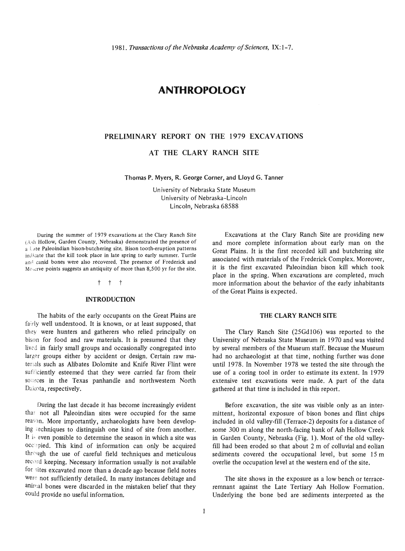# **ANTHROPOLOGY**

# PRELIMINARY REPORT ON THE 1979 EXCAVATIONS

AT THE CLARY RANCH SITE

Thomas P. Myers, R. George Corner, and Lloyd G. Tanner

University of Nebraska State Museum University of Nebraska-Lincoln Lincoln, Nebraska 68588

During the summer of 1979 excavations at the Clary Ranch Site (A,h Hollow, Garden County, Nebraska) demonstrated the presence of  $a \perp$  ate Paleoindian bison-butchering site. Bison tooth-eruption patterns indicate that the kill took place in late spring to early summer. Turtle and canid bones were also recovered. The presence of Frederick and Mescrve points suggests an antiquity of more than  $8,500$  yr for the site.

#### t t t

# INTRODUCTION

The habits of the early occupants on the Great Plains are fairly well understood. It is known, or at least supposed, that they were hunters and gatherers who relied principally on bison for food and raw materials. It is presumed that they lived in fairly small groups and occasionally congregated into larger groups either by accident or design. Certain raw materials such as Alibates Dolomite and Knife River Flint were sufficiently esteemed that they were carried far from their sotirces in the Texas panhandle and northwestern North Dakota, respectively.

During the last decade it has become increasingly evident tha: not all Paleoindian sites were occupied for the same reason. More importantly, archaeologists have been developing techniques to distinguish one kind of site from another. It is even possible to determine the season in which a site was occupied. This kind of information can only be acquired through the use of careful field techniques and meticulous record keeping. Necessary information usually is not available for sites excavated more than a decade ago because field notes were not sufficiently detailed. In many instances debitage and animal bones were discarded in the mistaken belief that they could provide no useful information.

Excavations at the Clary Ranch Site are providing new and more complete information about early man on the Great Plains. It is the first recorded kill and butchering site associated with materials of the Frederick Complex. Moreover, it is the first excavated Paleoindian bison kill which took place in the spring. When excavations are completed, much more information about the behavior of the early inhabitants of the Great Plains is expected.

## THE CLARY RANCH SITE

The Clary Ranch Site (25Gd106) was reported to the University of Nebraska State Museum in 1970 and was visited by several members of the Museum staff. Because the Museum had no archaeologist at that time, nothing further was done until 1978. In November 1978 we tested the site through the use of a coring tool in order to estimate its extent. In 1979 extensive test excavations were made. A part of the data gathered at that time is included in this report.

Before excavation, the site was visible only as an inter· mittent, horizontal exposure of bison bones and flint chips included in old valley·fill (Terrace-2) deposits for a distance of some 300 m along the north-facing bank of Ash Hollow Creek in Garden County, Nebraska (Fig. 1). Most of the old valleyfill had been eroded so that about 2 m of colluvial and eolian sediments covered the occupational level, but some 15 m overlie the occupation level at the western end of the site.

The site shows in the exposure as a low bench or terraceremnant against the Late Tertiary Ash Hollow Formation. Underlying the bone bed are sediments interpreted as the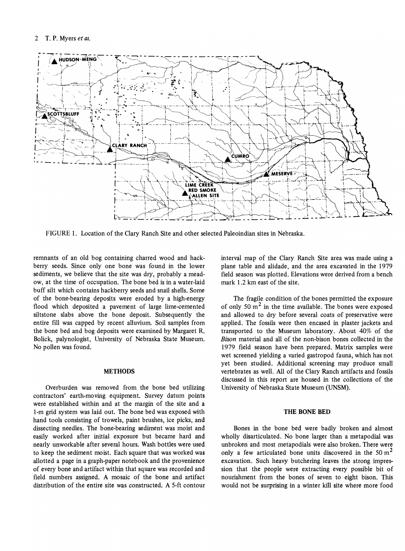

FIGURE 1. Location of the Clary Ranch Site and other selected Paleoindian sites in Nebraska.

remnants of an old bog containing charred wood and hackberry seeds. Since only one bone was found in the lower sediments, we believe that the site was dry, probably a meadow, at the time of occupation. The bone bed is in a water-laid buff silt which contains hackberry seeds and snail shells. Some of the bone-bearing deposits were eroded by a high-energy flood which deposited a pavement of large lime-cemented siltstone slabs above the bone deposit. Subsequently the entire fill was capped by recent alluvium. Soil samples from the bone bed and bog deposits were examined by Margaret R. Bolick, palynologist, University of Nebraska State Museum. No pollen was found.

# **METHODS**

Overburden was removed from the bone bed utilizing contractors' earth-moving equipment. Survey datum points were established within and at the margin of the site and a I-m grid system was laid out. The bone bed was exposed with hand tools consisting of trowels, paint brushes, ice picks, and dissecting needles. The bone-bearing sediment was moist and easily worked after initial exposure but became hard and nearly unworkable after several hours. Wash bottles were used to keep the sediment moist. Each square that was worked was allotted a page in a graph-paper notebook and the provenience of every bone and artifact within that square was recorded and field numbers assigned. A mosaic of the bone and artifact distribution of the entire site was constructed. A 5-ft contour interval map of the Clary Ranch Site area was made using a plane table and alidade, and the area excavated in the 1979 field season was plotted. Elevations were derived from a bench mark 1.2 km east of the site.

The fragile condition of the bones permitted the exposure of only 50  $m<sup>2</sup>$  in the time available. The bones were exposed and allowed to dry before several coats of preservative were applied. The fossils were then encased in plaster jackets and transported to the Museum laboratory. About 40% of the *Bison* material and all of the non-bison bones collected in the 1979 field season have been prepared. Matrix samples were wet screened yielding a varied gastropod fauna, which has not yet been studied. Additional screening may produce small vertebrates as well. All of the Clary Ranch artifacts and fossils discussed in this report are housed in the collections of the University of Nebraska State Museum (UNSM).

# THE BONE BED

Bones in the bone bed were badly broken and almost wholly disarticulated. No bone larger than a metapodial was unbroken and most metapodials were also broken. There were only a few articulated bone units discovered in the 50  $m<sup>2</sup>$ excavation. Such heavy butchering leaves the strong impression that the people were extracting every possible bit of nourishment from the bones of seven to eight bison. This would not be surprising in a winter kill site where more food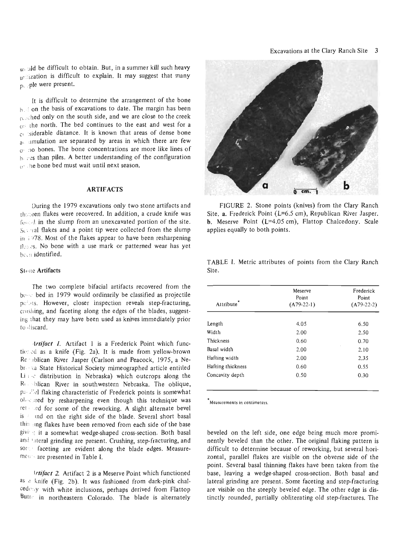$w_i$ : ald be difficult to obtain. But, in a summer kill such heavy ut lization is difficult to explain. It may suggest that many  $p_{\text{v}}$  ple were present.

It is difficult to determine the arrangement of the bone  $b \geq 0$  on the basis of excavations to date. The margin has been  $n$ . thed only on the south side, and we are close to the creek  $_{\text{O}}$ : the north. The bed continues to the east and west for a c' siderable distance. It is known that areas of dense bone  $a$  amulation are separated by areas in which there are few o '10 bones. The bone concentrations are more like lines of b. : es than piles. A better understanding of the configuration (l' ile bone bed must wait until next season.

## ARTIFACTS

During the 1979 excavations only two stone artifacts and thereen flakes were recovered. In addition, a crude knife was forced in the slump from an unexcavated portion of the site.  $S<sub>0</sub>$  al flakes and a point tip were collected from the slump in  $\frac{1078}{10}$ . Most of the flakes appear to have been resharpening the as. No bone with a use mark or patterned wear has yet been identified.

# Stone Artifacts

The two complete bifacial artifacts recovered from the be.· . bed in 1979 would ordinarily be classified as projectile polis. However, closer inspection reveals step-fracturing, crushing, and faceting along the edges of the blades, suggesting Ihat they may have been used as knives immediately prior to discard.

*Artifact 1*. Artifact 1 is a Frederick Point which functioned as a knife (Fig. 2a). It is made from yellow-brown Republican River Jasper (Carlson and Peacock, 1975, a Nebr ka State Historical Society mimeographed article entitled Li  $\approx$  distribution in Nebraska) which outcrops along the Resolican River in southwestern Nebraska. The oblique, passibled flaking characteristic of Frederick points is somewhat  $0<sub>1</sub><sub>1</sub>$  and by resharpening even though this technique was ret and for some of the reworking. A slight alternate bevel is a ind on the right side of the blade. Several short basal this ing flakes have been removed from each side of the base givi it a somewhat wedge-shaped cross-section. Both basal and tateral grinding are present. Crushing, step-fracturing, and song faceting are evident along the blade edges. Measuremess-are presented in Table I.

*irtifact* 2. Artifact 2 is a Meserve Point which functioned  $a<sub>s</sub>$  a knife (Fig. 2b). It was fashioned from dark-pink chal $ced_{\text{Cay}}$  with white inclusions, perhaps derived from Flattop Butte in northeastern Colorado. The blade is alternately



FIGURE 2. Stone points (knives) from the Clary Ranch Site. a. Frederick Point (L=6.5 cm), Republican River Jasper. b. Meserve Point (L=4.05 cm), Flattop Chalcedony. Scale applies equally to both points.

|       |  | TABLE I. Metric attributes of points from the Clary Ranch |  |  |  |
|-------|--|-----------------------------------------------------------|--|--|--|
| Site. |  |                                                           |  |  |  |

| Attribute <sup>7</sup> | Meserve<br>Point<br>$(A79-22-1)$ | Frederick<br>Point<br>$(A79-22-2)$ |
|------------------------|----------------------------------|------------------------------------|
| Length                 | 4.05                             | 6.50                               |
| Width                  | 2.00                             | 2.50                               |
| Thickness              | 0.60                             | 0.70                               |
| Basal width            | 2.00                             | 2.10                               |
| Hafting width          | 2.00                             | 2.35                               |
| Hafting thickness      | 0.60                             | 0.55                               |
| Concavity depth        | 0.50                             | 0.30                               |

\* Measurements **in** centimeters.

beveled on the left side, one edge being much more prominently beveled than the other. The original flaking pattern is difficult to determine because of reworking, but several horizontal, parallel flakes are visible on the obverse side of the point. Several basal thinning flakes have been taken from the base, leaving a wedge-shaped cross-section. Both basal and lateral grinding are present. Some faceting and step-fracturing are visible on the steeply beveled edge. The other edge is distinctly rounded, partially obliterating old step-fractures. The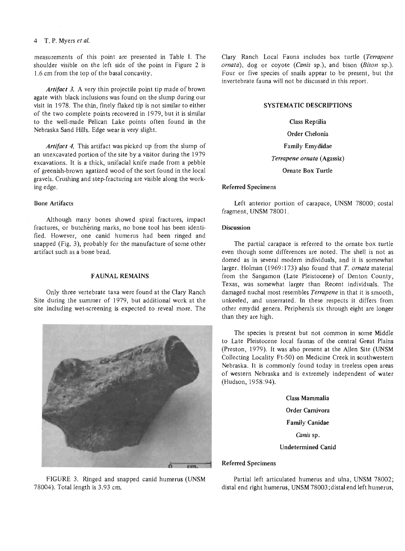#### 4 T. P. Myers *et* af.

measurements of this point are presented in Table I. The shoulder visible on the left side of the point in Figure 2 is 1.6 cm from the top of the basal concavity.

*Artifact* 3. A very thin projectile point tip made of brown agate with black inclusions was found on the slump during our visit in 1978. The thin, finely flaked tip is not similar to either of the two complete points recovered in 1979, but it is similar to the well-made Pelican Lake points often found in the Nebraska Sand Hills. Edge wear is very slight.

*Artifact* 4. This artifact was picked up from the slump of an unexcavated portion of the site by a visitor during the 1979 excavations. It is a thick, unifacial knife made from a pebble of greenish-brown agatized wood of the sort found in the local gravels. Crushing and step-fracturing are visible along the working edge.

# Bone Artifacts

Although many bones showed spiral fractures, impact fractures, or butchering marks, no bone tool has been identified. However, one canid humerus had been ringed and snapped (Fig. 3), probably for the manufacture of some other artifact such as a bone bead.

# FAUNAL REMAINS

Only three vertebrate taxa were found at the Clary Ranch Site during the summer of 1979, but additional work at the site including wet-screening is expected to reveal more. The



FIGURE 3. Ringed and snapped canid humerus (UNSM 78004). Total length is 3.93 cm.

Clary Ranch Local Fauna includes box turtle *(Terrapene ornata),* dog or coyote *(Canis* sp.), and bison *(Bison* sp.). Four or five species of snails appear to be present, but the invertebrate fauna will not be discussed in this report.

# SYSTEMATIC DESCRIPTIONS

Class Reptilia Order Chelonia Family Emydidae *Terrapene ornata* (Agassiz) Ornate Box Turtle

#### Referred Specimens

Left anterior portion of carapace, UNSM 78000; costal fragment, UNSM 78001.

#### **Discussion**

The partial carapace is referred to the ornate box turtle even though some differences are noted. The shell is not as domed as in several modern individuals, and it is somewhat larger. Holman (1969: 173) also found that *T. ornata* material from the Sangamon (Late Pleistocene) of Denton County, Texas, was somewhat larger than Recent individuals. The damaged nuchal most resembles *Terrapene* in that it is smooth, unkeeled, and unserrated. In these respects it differs from other emydid genera. Peripherals six through eight are longer than they are high.

The species is present but not common in some Middle to Late Pleistocene local faunas of the central Great Plains (preston, 1979). It was also present at the Allen Site (UNSM Collecting Locality Ft-50) on Medicine Creek in southwestern Nebraska. It is commonly found today in treeless open areas of western Nebraska and is extremely independent of water (Hudson, 1958:94).

> Class Mammalia Order Carnivora Family Canidae *Canis* sp. Undetermined Canid

# Referred Specimens

Partial left articulated humerus and ulna, UNSM 78002; distal end right humerus, UNSM 78003; distal end left humerus,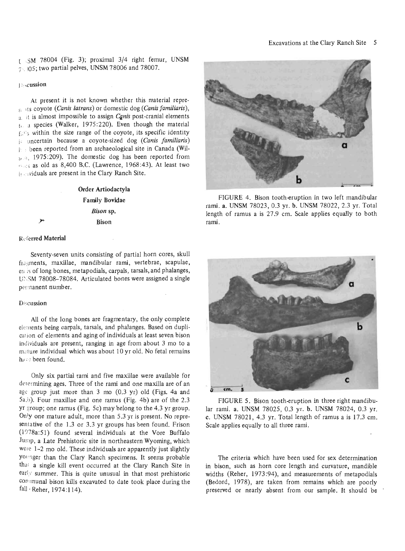$1$   $\cdot$  SM 78004 (Fig. 3); proximal 3/4 right femur, UNSM 7 .. )05; two partial pelves, UNSM 78006 and 78007.

#### J i" cussion

At present it is not known whether this material represts coyote *(Canis latrans)* or domestic dog *(Canis familiaris),*  a it is almost impossible to assign *Canis* post-cranial elements t, a species (Walker, 1975:220). Even though the material  $f_n$ <sup>1</sup>'s within the size range of the coyote, its specific identity i: uncertain because a coyote-sized dog *(Canis familiaris)*  b '.' been reported from an archaeological site in Canada (Wil-State, 1975:209). The domestic dog has been reported from ! ':;.:'; as old as 8,400 B.C. (Lawrence, 1968:43). At least two jf . ividuals are present in the Clary Ranch Site.

# Order Artiodactyla Family Bovidae *Bison* sp. Bison

## Referred Material

Seventy-seven units consisting of partial horn cores, skull fragments, maxillae, mandibular rami, vertebrae, scapulae, en.: 5 of long bones, metapodials, carpals, tarsals, and phalanges, UNSM 78008-78084. Articulated bones were assigned a single permanent number.

#### Discussion

All of the long bones are fragmentary, the only complete elements being carpals, tarsals, and phalanges. Based on duplication of elements and aging of individuals at least seven bison individuals are present, ranging in age from about 3 mo to a mature individual which was about 10 yr old. No fetal remains have been found.

Only six partial rami and five maxillae were available for determining ages. Three of the rami and one maxilla are of an age group just more than  $3$  mo (0.3 yr) old (Figs. 4a and  $5a, b$ ). Four maxillae and one ramus (Fig. 4b) are of the 2.3 yr group; one ramus (Fig. 5c) may belong to the 4.3 yr group. Only one mature adult, more than 5.3 yr is present. No representative of the 1.3 or 3.3 yr groups has been found. Frison  $(1978a:51)$  found several individuals at the Vore Buffalo Jump, a Late Prehistoric site in northeastern Wyoming, which were 1-2 mo old. These individuals are apparently just slightly Younger than the Clary Ranch specimens. It seems probable thai a single kill event occurred at the Clary Ranch Site in early summer. This is quite unusual in that most prehistoric Communal bison kills excavated to date took place during the fall · Reher, 1974:114).



FIGURE 4. Bison tooth-eruption in two left mandibular rami. a. UNSM 78023,0.3 yr. b. UNSM 78022, 2.3 yr. Total length of ramus a is 27.9 cm. Scale applies equally to both rami.



FIGURE 5. Bison tooth-eruption in three right mandibular rami. a. UNSM 78025, 0.3 yr. b. UNSM 78024, 0.3 yr. c. UNSM 78021, 4.3 yr. Total length of ramus a is 17.3 cm. Scale applies equally to all three rami.

The criteria which have been used for sex determination in bison, such as horn core length and curvature, mandible widths (Reher, 1973:94), and measurements of metapodials (Bedord, 1978), are taken from remains which are poorly preserved or nearly absent from our sample. It should be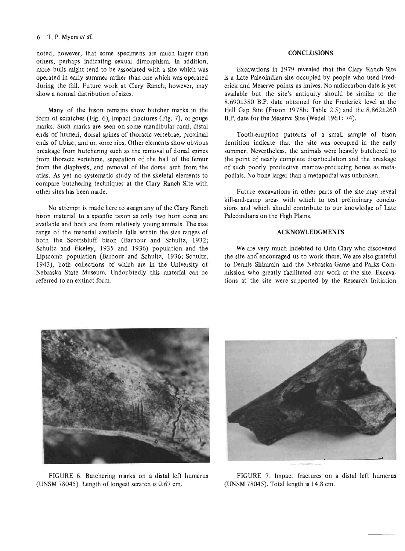#### 6 T. P. Myers *etal.*

noted, however, that some specimens are much larger than others, perhaps indicating sexual dimorphism. In addition, more bulls might tend to be associated with a site which was operated in early summer rather than one which was operated during the fall. Future work at Clary Ranch, however, may show a normal distribution of sizes.

Many of the bison remains show butcher marks in the form of scratches (Fig. 6), impact fractures (Fig. 7), or gouge marks. Such marks are seen on some mandibular rami, distal ends of humeri, dorsal spines of thoracic vertebrae, proximal ends of tibiae, and on some ribs. Other elements show obvious breakage from butchering such as the removal of dorsal spines from thoracic vertebrae, separation of the ball of the femur from the diaphysis, and removal of the dorsal arch from the atlas. As yet no systematic study of the skeletal elements to compare butchering techniques at the Clary Ranch Site with other sites has been made.

No attempt is made here to assign any of the Clary Ranch bison material to a specific taxon as only two horn cores are available and both are from relatively young animals. The size range of the material available falls within the size ranges of both the Scottsbluff bison (Barbour and Schultz, 1932; Schultz and Eiseley, 1935 and 1936) population and the Lipscomb population (Barbour and Schultz, 1936; Schultz, 1943), both collections of which are in the University of Nebraska State Museum Undoubtedly this material can be referred to an extinct form.

## **CONCLUSIONS**

Excavations in 1979 revealed that the Clary Ranch Site is a Late Paleoindian site occupied by people who used Frederick and Meserve points as knives. No radiocarbon date is yet available but the site's antiquity should be similar to the 8,690±380 B.P. date obtained for the Frederick level at the Hell Gap Site (Frison 1978b: Table 2.5) and the 8,862±260 B.P. date for the Meserve Site (Wedel 1961: 74).

Tooth-eruption patterns of a small sample of bison dentition indicate that the site was occupied in the early summer. Nevertheless, the animals were heavily butchered to the point of nearly complete disarticulation and the breakage of such poorly productive marrow-producing bones as metapodials. No bone larger than a metapodial was unbroken.

Future excavations in other parts of the site may reveal kill-and-camp areas with which to test preliminary conclusions and which should contribute to our knowledge of Late Paleoindians on the High Plains.

# **ACKNOWLEDGMENTS**

We are very much indebted to Orin Clary who discovered the site and encouraged us to work there. We are also grateful to Dennis Shimmin and the Nebraska Game and Parks Commission who greatly facilitated our work at the site. Excavations at the site were supported by the Research Initiation



FIGURE 6. Butchering marks on a distal left humerus (UNSM 78045). Length of longest scratch is 0.67 cm.



FIGURE 7. Impact fractures on a distal left humerus (UNSM 78045). Total length is 14.8 cm.